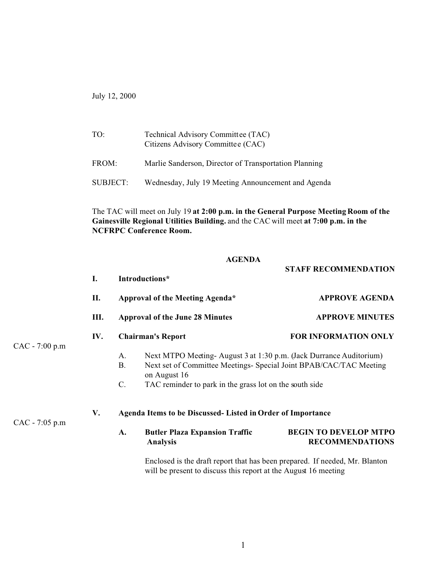July 12, 2000

 $CAC -$ 

 $CAC -$ 

| TO:      | Technical Advisory Committee (TAC)<br>Citizens Advisory Committee (CAC) |
|----------|-------------------------------------------------------------------------|
| FROM:    | Marlie Sanderson, Director of Transportation Planning                   |
| SUBJECT: | Wednesday, July 19 Meeting Announcement and Agenda                      |

The TAC will meet on July 19 **at 2:00 p.m. in the General Purpose Meeting Room of the Gainesville Regional Utilities Building.** and the CAC will meet **at 7:00 p.m. in the NCFRPC Conference Room.**

## **AGENDA**

**STAFF RECOMMENDATION**

|            | I.                                                                | Introductions*                                                            |                                                                                                                                                          |                                                        |  |
|------------|-------------------------------------------------------------------|---------------------------------------------------------------------------|----------------------------------------------------------------------------------------------------------------------------------------------------------|--------------------------------------------------------|--|
|            | П.                                                                | Approval of the Meeting Agenda*<br><b>Approval of the June 28 Minutes</b> |                                                                                                                                                          | <b>APPROVE AGENDA</b>                                  |  |
| 7:00 p.m   | III.                                                              |                                                                           |                                                                                                                                                          | <b>APPROVE MINUTES</b>                                 |  |
|            | IV.                                                               | <b>Chairman's Report</b>                                                  |                                                                                                                                                          | <b>FOR INFORMATION ONLY</b>                            |  |
|            |                                                                   | A.<br><b>B.</b>                                                           | Next MTPO Meeting-August 3 at 1:30 p.m. (Jack Durrance Auditorium)<br>Next set of Committee Meetings- Special Joint BPAB/CAC/TAC Meeting<br>on August 16 |                                                        |  |
|            |                                                                   | C.                                                                        | TAC reminder to park in the grass lot on the south side                                                                                                  |                                                        |  |
|            | V.<br>Agenda Items to be Discussed- Listed in Order of Importance |                                                                           |                                                                                                                                                          |                                                        |  |
| $7:05$ p.m |                                                                   | A.                                                                        | <b>Butler Plaza Expansion Traffic</b><br><b>Analysis</b>                                                                                                 | <b>BEGIN TO DEVELOP MTPO</b><br><b>RECOMMENDATIONS</b> |  |

Enclosed is the draft report that has been prepared. If needed, Mr. Blanton will be present to discuss this report at the August 16 meeting